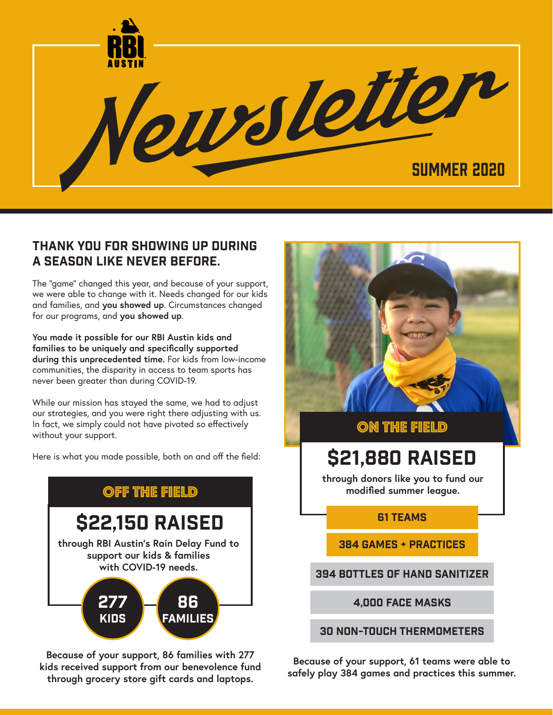

### Thank You For showing up during A season like never before.

The "game" changed this year, and because of your support, we were able to change with it. Needs changed for our kids and families, and **you showed up**. Circumstances changed for our programs, and **you showed up**.

**You made it possible for our RBI Austin kids and families to be uniquely and specifically supported during this unprecedented time.** For kids from low-income communities, the disparity in access to team sports has never been greater than during COVID-19.

While our mission has stayed the same, we had to adjust our strategies, and you were right there adjusting with us. In fact, we simply could not have pivoted so effectively without your support.

Here is what you made possible, both on and off the field:



**Because of your support, 86 families with 277 kids received support from our benevolence fund through grocery store gift cards and laptops.**



### On the field

# \$21,880 raised

**through donors like you to fund our modified summer league.**

#### 61 Teams

384 games + Practices

394 bottles of hand sanitizer

4,000 Face Masks

30 non-touch thermometers

**Because of your support, 61 teams were able to safely play 384 games and practices this summer.**